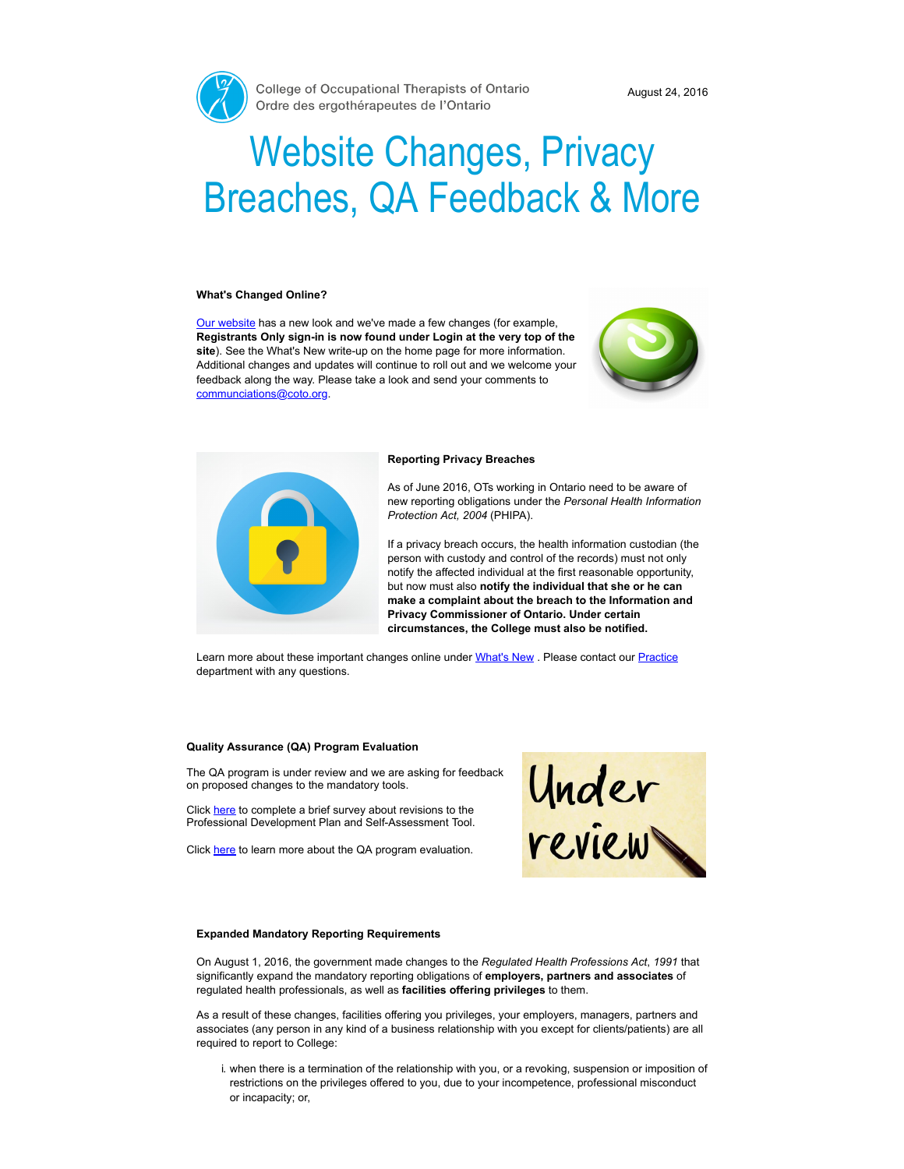

# Website Changes, Privacy Breaches, QA Feedback & More

#### What's Changed Online?

Our [website](https://www.coto.org/) has a new look and we've made a few changes (for example, Registrants Only sign-in is now found under Login at the very top of the site). See the What's New write-up on the home page for more information. Additional changes and updates will continue to roll out and we welcome your feedback along the way. Please take a look and send your comments to [communciations@coto.org](mailto:communciations@coto.org).





#### Reporting Privacy Breaches

As of June 2016, OTs working in Ontario need to be aware of new reporting obligations under the Personal Health Information Protection Act, 2004 (PHIPA).

If a privacy breach occurs, the health information custodian (the person with custody and control of the records) must not only notify the affected individual at the first reasonable opportunity, but now must also notify the individual that she or he can make a complaint about the breach to the Information and Privacy Commissioner of Ontario. Under certain circumstances, the College must also be notified.

Learn more about these important changes online under [What's](https://www.coto.org/news/reporting-privacy-breaches) New . Please contact our [Practice](mailto:practice@coto.org) department with any questions.

#### Quality Assurance (QA) Program Evaluation

The QA program is under review and we are asking for feedback on proposed changes to the mandatory tools.

Click [here](http://fluidsurveys.com/surveys/coto/pilot-revised-pd-plan-and-sa-tool/) to complete a brief survey about revisions to the Professional Development Plan and Self-Assessment Tool.

Click [here](https://www.coto.org/quality-practice/quality-assurance-(qa)-program-evaluation) to learn more about the QA program evaluation.



#### Expanded Mandatory Reporting Requirements

On August 1, 2016, the government made changes to the Regulated Health Professions Act, 1991 that significantly expand the mandatory reporting obligations of employers, partners and associates of regulated health professionals, as well as facilities offering privileges to them.

As a result of these changes, facilities offering you privileges, your employers, managers, partners and associates (any person in any kind of a business relationship with you except for clients/patients) are all required to report to College:

i. when there is a termination of the relationship with you, or a revoking, suspension or imposition of restrictions on the privileges offered to you, due to your incompetence, professional misconduct or incapacity; or,